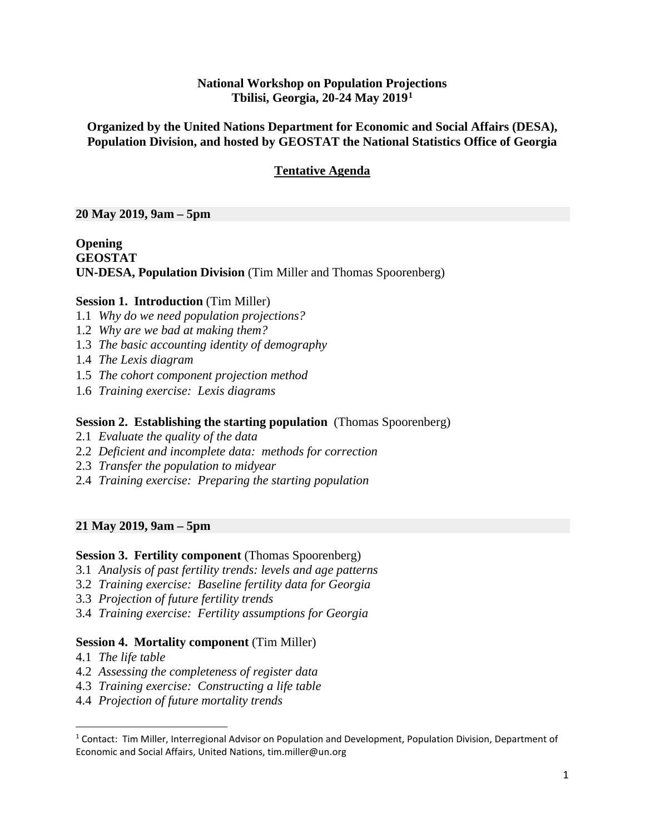## **National Workshop on Population Projections Tbilisi, Georgia, 20-24 May 2019[1](#page-0-0)**

## **Organized by the United Nations Department for Economic and Social Affairs (DESA), Population Division, and hosted by GEOSTAT the National Statistics Office of Georgia**

# **Tentative Agenda**

## **20 May 2019, 9am – 5pm**

**Opening GEOSTAT UN-DESA, Population Division** (Tim Miller and Thomas Spoorenberg)

## **Session 1. Introduction** (Tim Miller)

- 1.1 *Why do we need population projections?*
- 1.2 *Why are we bad at making them?*
- 1.3 *The basic accounting identity of demography*
- 1.4 *The Lexis diagram*
- 1.5 *The cohort component projection method*
- 1.6 *Training exercise: Lexis diagrams*

# **Session 2. Establishing the starting population** (Thomas Spoorenberg)

- 2.1 *Evaluate the quality of the data*
- 2.2 *Deficient and incomplete data: methods for correction*
- 2.3 *Transfer the population to midyear*
- 2.4 *Training exercise: Preparing the starting population*

# **21 May 2019, 9am – 5pm**

## **Session 3. Fertility component** (Thomas Spoorenberg)

- 3.1 *Analysis of past fertility trends: levels and age patterns*
- 3.2 *Training exercise: Baseline fertility data for Georgia*
- 3.3 *Projection of future fertility trends*
- 3.4 *Training exercise: Fertility assumptions for Georgia*

## **Session 4. Mortality component** (Tim Miller)

- 4.1 *The life table*
- 4.2 *Assessing the completeness of register data*
- 4.3 *Training exercise: Constructing a life table*
- 4.4 *Projection of future mortality trends*

<span id="page-0-0"></span> <sup>1</sup> Contact: Tim Miller, Interregional Advisor on Population and Development, Population Division, Department of Economic and Social Affairs, United Nations, tim.miller@un.org